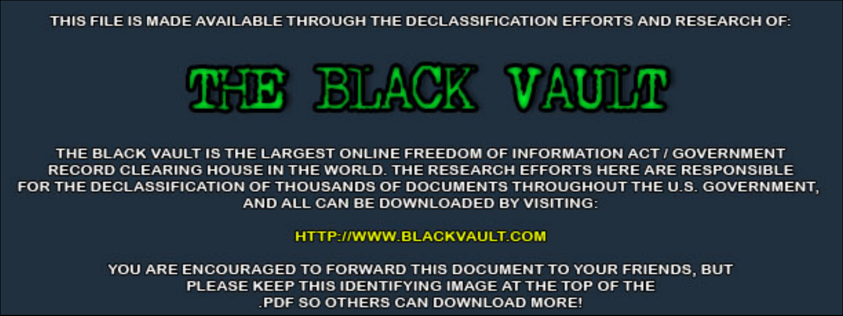THIS FILE IS MADE AVAILABLE THROUGH THE DECLASSIFICATION EFFORTS AND RESEARCH OF:



THE BLACK VAULT IS THE LARGEST ONLINE FREEDOM OF INFORMATION ACT / GOVERNMENT RECORD CLEARING HOUSE IN THE WORLD. THE RESEARCH EFFORTS HERE ARE RESPONSIBLE FOR THE DECLASSIFICATION OF THOUSANDS OF DOCUMENTS THROUGHOUT THE U.S. GOVERNMENT, AND ALL CAN BE DOWNLOADED BY VISITING:

**HTTP://WWW.BLACKVAULT.COM** 

YOU ARE ENCOURAGED TO FORWARD THIS DOCUMENT TO YOUR FRIENDS, BUT PLEASE KEEP THIS IDENTIFYING IMAGE AT THE TOP OF THE PDF SO OTHERS CAN DOWNLOAD MORE!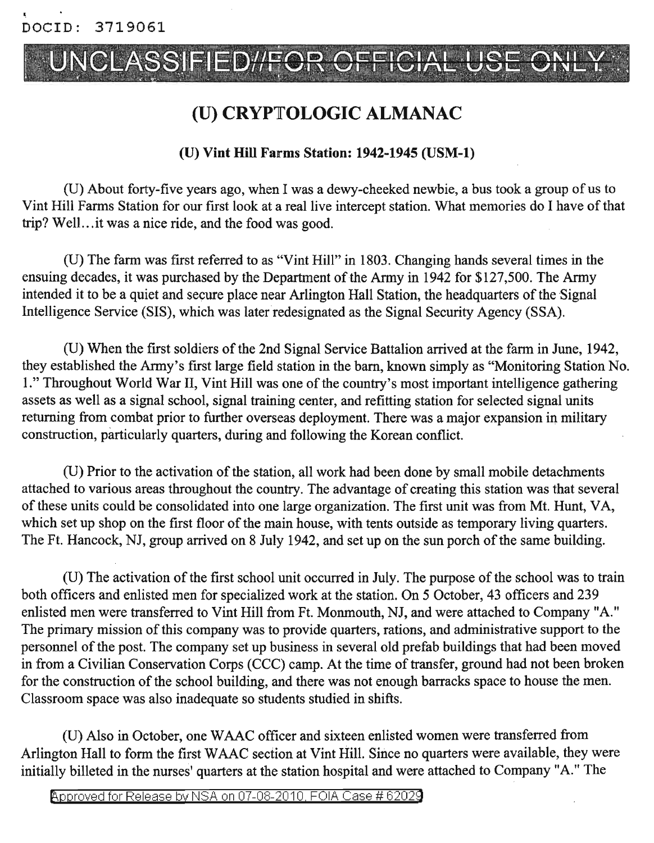# UNCLASSIFIED//FOR

### (U) CRYPTOLOGIC ALMANAC

#### (U) Vint Hill Farms Station: 1942-1945 (USM-l)

(D) About forty-five years ago, when I was a dewy-cheeked newbie, a bus took a group of us to Vint Hill Farms Station for our first look at a real live intercept station. What memories do I have of that trip? Well...it was a nice ride, and the food was good.

(D) The farm was first referred to as "Vint Hill" in 1803. Changing hands several times in the ensuing decades, it was purchased by the Department of the Army in 1942 for \$127,500. The Army intended it to be a quiet and secure place near Arlington Hall Station, the headquarters of the Signal Intelligence Service (SIS), which was later redesignated as the Signal Security Agency (SSA).

(U) When the first soldiers of the 2nd Signal Service Battalion arrived at the farm in June, 1942, they established the Army's first large field station in the bam, known simply as "Monitoring Station No. 1." Throughout World War II, Vint Hill was one of the country's most important intelligence gathering assets as well as a signal school, signal training center, and refitting station for selected signal units returning from combat prior to further overseas deployment. There was a major expansion in military construction, particularly quarters, during and following the Korean conflict.

(U) Prior to the activation of the station, all work had been done by small mobile detachments attached to various areas throughout the country. The advantage of creating this station was that several of these units could be consolidated into one large organization. The first unit was from Mt. Hunt, VA, which set up shop on the first floor of the main house, with tents outside as temporary living quarters. The Ft. Hancock, NJ, group arrived on 8 July 1942, and set up on the sun porch of the same building.

(U) The activation of the first school unit occurred in July. The purpose of the school was to train both officers and enlisted men for specialized work at the station. On 5 October, 43 officers and 239 enlisted men were transferred to Vint Hill from Ft. Monmouth, NJ, and were attached to Company "A." The primary mission of this company was to provide quarters, rations, and administrative support to the personnel of the post. The company set up business in several old prefab buildings that had been moved in from a Civilian Conservation Corps (CCC) camp. At the time of transfer, ground had not been broken for the construction of the school building, and there was not enough barracks space to house the men. Classroom space was also inadequate so students studied in shifts.

(D) Also in October, one WAAC officer and sixteen enlisted women were transferred from Arlington Hall to form the first WAAC section at Vint Hill. Since no quarters were available, they were initially billeted in the nurses' quarters at the station hospital and were attached to Company "A." The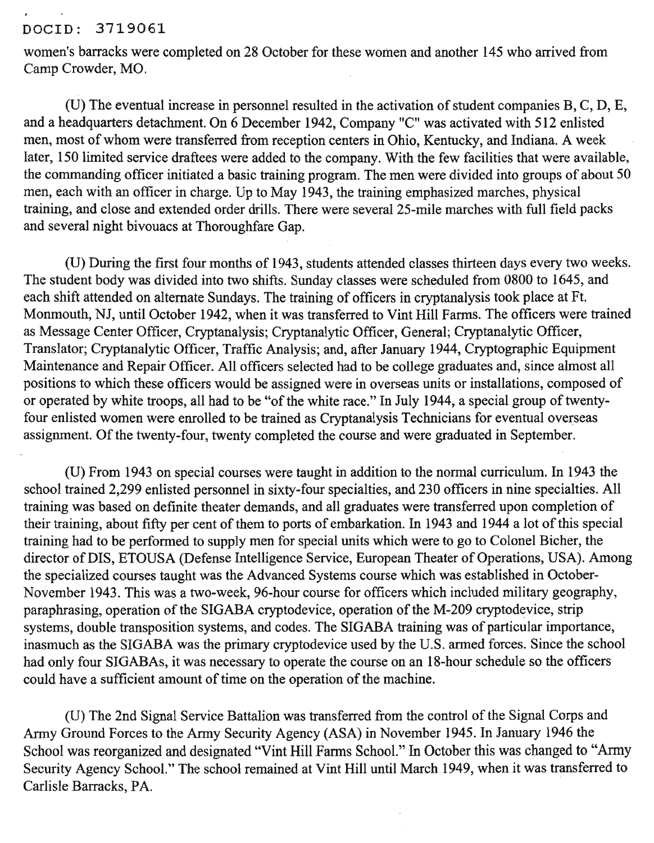#### DOCIO: 3719061

women's barracks were completed on 28 October for these women and another 145 who arrived from Camp Crowder, MO.

(U) The eventual increase in personnel resulted in the activation of student companies  $B, C, D, E$ , and a headquarters detachment. On 6 December 1942, Company "C" was activated with 512 enlisted men, most of whom were transferred from reception centers in Ohio, Kentucky, and Indiana. A week later, 150 limited service draftees were added to the company. With the few facilities that were available, the commanding officer initiated a basic training program. The men were divided into groups of about 50 men, each with an officer in charge. Up to May 1943, the training emphasized marches, physical training, and close and extended order drills. There were several 25-mile marches with full field packs and several night bivouacs at Thoroughfare Gap.

(V) During the first four months of 1943, students attended classes thirteen days every two weeks. The student body was divided into two shifts. Sunday classes were scheduled from 0800 to 1645, and each shift attended on alternate Sundays. The training of officers in cryptanalysis took place at Ft. Monmouth, NJ, until October 1942, when it was transferred to Vint Hill Farms. The officers were trained as Message Center Officer, Cryptanalysis; Cryptanalytic Officer, General; Cryptanalytic Officer, Translator; Cryptanalytic Officer, Traffic Analysis; and, after January 1944, Cryptographic Equipment Maintenance and Repair Officer. All officers selected had to be college graduates and, since almost all positions to which these officers would be assigned were in overseas units or installations, composed of or operated by white troops, all had to be "of the white race." In July 1944, a special group of twentyfour enlisted women were enrolled to be trained as Cryptanalysis Technicians for eventual overseas assignment. Of the twenty-four, twenty completed the course and were graduated in September.

(V) From 1943 on special courses were taught in addition to the normal curriculum. In 1943 the school trained 2,299 enlisted personnel in sixty-four specialties, and 230 officers in nine specialties. All training was based on definite theater demands, and all graduates were transferred upon completion of their training, about fifty per cent of them to ports of embarkation. In 1943 and 1944 a lot of this special training had to be performed to supply men for special units which were to go to Colonel Bicher, the director of DIS, ETOUSA (Defense Intelligence Service, European Theater of Operations, USA). Among the specialized courses taught was the Advanced Systems course which was established in October-November 1943. This was a two-week, 96-hour course for officers which included military geography, paraphrasing, operation of the SIGABA cryptodevice, operation of the M-209 cryptodevice, strip systems, double transposition systems, and codes. The SIGABA training was of particular importance, inasmuch as the SIGABA was the primary cryptodevice used by the V.S. arrhed forces. Since the school had only four SIGABAs, it was necessary to operate the course on an 18-hour schedule so the officers could have a sufficient amount of time on the operation of the machine.

(U) The 2nd Signal Service Battalion was transferred from the control of the Signal Corps and Army Ground Forces to the Army Security Agency (ASA) in November 1945. In January 1946 the School was reorganized and designated "Vint Hill Farms School." In October this was changed to "Army Security Agency School." The school remained at Vint Hill until March 1949, when it was transferred to Carlisle Barracks, PA.